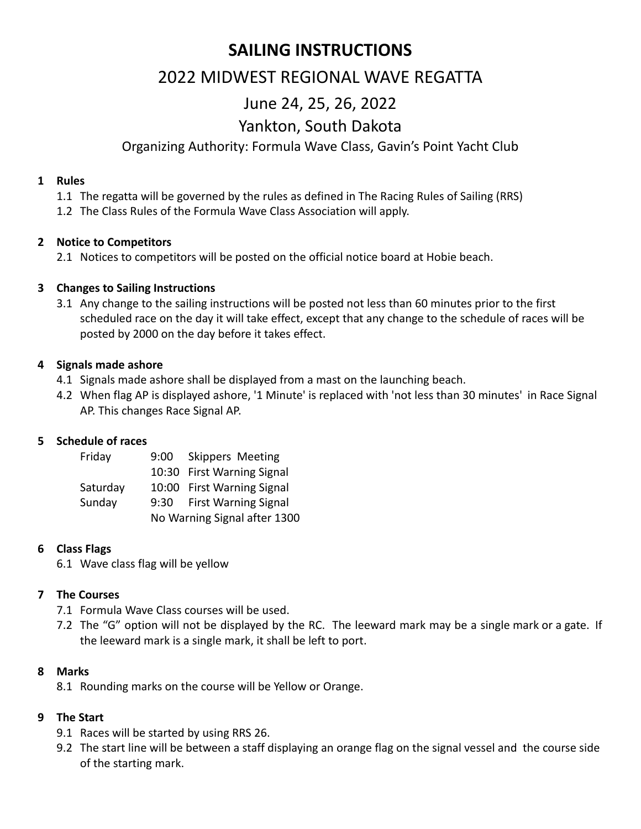# **SAILING INSTRUCTIONS**

# 2022 MIDWEST REGIONAL WAVE REGATTA

# June 24, 25, 26, 2022

# Yankton, South Dakota

## Organizing Authority: Formula Wave Class, Gavin's Point Yacht Club

#### **1 Rules**

- 1.1 The regatta will be governed by the rules as defined in The Racing Rules of Sailing (RRS)
- 1.2 The Class Rules of the Formula Wave Class Association will apply.

#### **2 Notice to Competitors**

2.1 Notices to competitors will be posted on the official notice board at Hobie beach.

#### **3 Changes to Sailing Instructions**

3.1 Any change to the sailing instructions will be posted not less than 60 minutes prior to the first scheduled race on the day it will take effect, except that any change to the schedule of races will be posted by 2000 on the day before it takes effect.

#### **4 Signals made ashore**

- 4.1 Signals made ashore shall be displayed from a mast on the launching beach.
- 4.2 When flag AP is displayed ashore, '1 Minute' is replaced with 'not less than 30 minutes' in Race Signal AP. This changes Race Signal AP.

#### **5 Schedule of races**

| Friday   |                                     | 9:00 Skippers Meeting      |  |
|----------|-------------------------------------|----------------------------|--|
|          |                                     | 10:30 First Warning Signal |  |
| Saturday |                                     | 10:00 First Warning Signal |  |
| Sunday   | <b>First Warning Signal</b><br>9:30 |                            |  |
|          | No Warning Signal after 1300        |                            |  |

#### **6 Class Flags**

6.1 Wave class flag will be yellow

#### **7 The Courses**

- 7.1 Formula Wave Class courses will be used.
- 7.2 The "G" option will not be displayed by the RC. The leeward mark may be a single mark or a gate. If the leeward mark is a single mark, it shall be left to port.

#### **8 Marks**

8.1 Rounding marks on the course will be Yellow or Orange.

#### **9 The Start**

- 9.1 Races will be started by using RRS 26.
- 9.2 The start line will be between a staff displaying an orange flag on the signal vessel and the course side of the starting mark.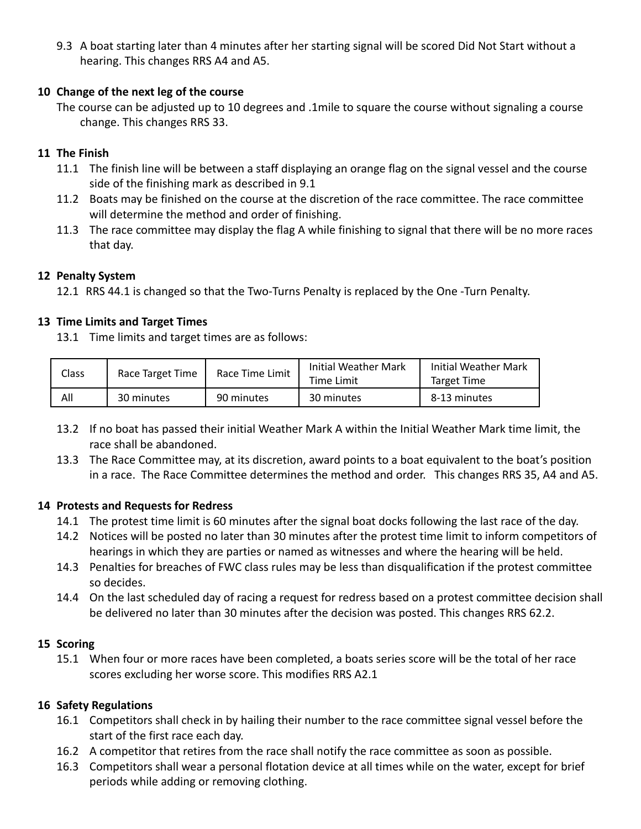9.3 A boat starting later than 4 minutes after her starting signal will be scored Did Not Start without a hearing. This changes RRS A4 and A5.

#### **10 Change of the next leg of the course**

The course can be adjusted up to 10 degrees and .1mile to square the course without signaling a course change. This changes RRS 33.

### **11 The Finish**

- 11.1 The finish line will be between a staff displaying an orange flag on the signal vessel and the course side of the finishing mark as described in 9.1
- 11.2 Boats may be finished on the course at the discretion of the race committee. The race committee will determine the method and order of finishing.
- 11.3 The race committee may display the flag A while finishing to signal that there will be no more races that day.

#### **12 Penalty System**

12.1 RRS 44.1 is changed so that the Two-Turns Penalty is replaced by the One -Turn Penalty.

### **13 Time Limits and Target Times**

13.1 Time limits and target times are as follows:

| Class | Race Target Time | Race Time Limit | Initial Weather Mark<br>Time Limit | Initial Weather Mark<br>Target Time |
|-------|------------------|-----------------|------------------------------------|-------------------------------------|
| All   | 30 minutes       | 90 minutes      | 30 minutes                         | 8-13 minutes                        |

- 13.2 If no boat has passed their initial Weather Mark A within the Initial Weather Mark time limit, the race shall be abandoned.
- 13.3 The Race Committee may, at its discretion, award points to a boat equivalent to the boat's position in a race. The Race Committee determines the method and order. This changes RRS 35, A4 and A5.

#### **14 Protests and Requests for Redress**

- 14.1 The protest time limit is 60 minutes after the signal boat docks following the last race of the day.
- 14.2 Notices will be posted no later than 30 minutes after the protest time limit to inform competitors of hearings in which they are parties or named as witnesses and where the hearing will be held.
- 14.3 Penalties for breaches of FWC class rules may be less than disqualification if the protest committee so decides.
- 14.4 On the last scheduled day of racing a request for redress based on a protest committee decision shall be delivered no later than 30 minutes after the decision was posted. This changes RRS 62.2.

#### **15 Scoring**

15.1 When four or more races have been completed, a boats series score will be the total of her race scores excluding her worse score. This modifies RRS A2.1

### **16 Safety Regulations**

- 16.1 Competitors shall check in by hailing their number to the race committee signal vessel before the start of the first race each day.
- 16.2 A competitor that retires from the race shall notify the race committee as soon as possible.
- 16.3 Competitors shall wear a personal flotation device at all times while on the water, except for brief periods while adding or removing clothing.